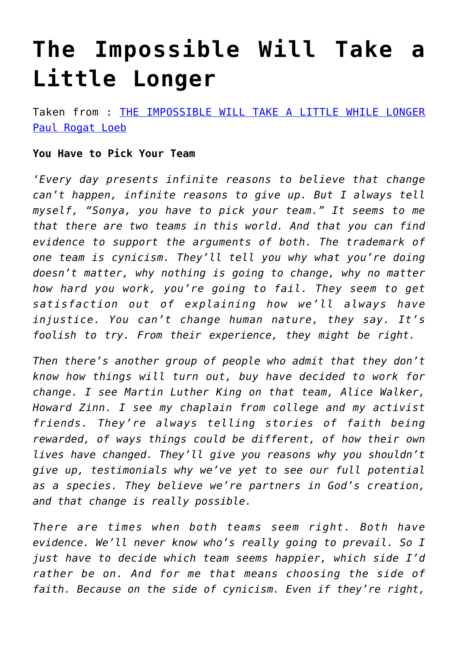## **[The Impossible Will Take a](https://gettingclevertogether.com/resilience/the-impossible-will-take-a-little-longer/) [Little Longer](https://gettingclevertogether.com/resilience/the-impossible-will-take-a-little-longer/)**

Taken from : [THE IMPOSSIBLE WILL TAKE A LITTLE WHILE LONGER](http://www.perseusbooksgroup.com/basic/book_detail.jsp?isbn=0465041663) [Paul Rogat Loeb](http://www.perseusbooksgroup.com/basic/author_detail.jsp?id=1000015872)

## **You Have to Pick Your Team**

*'Every day presents infinite reasons to believe that change can't happen, infinite reasons to give up. But I always tell myself, "Sonya, you have to pick your team." It seems to me that there are two teams in this world. And that you can find evidence to support the arguments of both. The trademark of one team is cynicism. They'll tell you why what you're doing doesn't matter, why nothing is going to change, why no matter how hard you work, you're going to fail. They seem to get satisfaction out of explaining how we'll always have injustice. You can't change human nature, they say. It's foolish to try. From their experience, they might be right.*

*Then there's another group of people who admit that they don't know how things will turn out, buy have decided to work for change. I see Martin Luther King on that team, Alice Walker, Howard Zinn. I see my chaplain from college and my activist friends. They're always telling stories of faith being rewarded, of ways things could be different, of how their own lives have changed. They'll give you reasons why you shouldn't give up, testimonials why we've yet to see our full potential as a species. They believe we're partners in God's creation, and that change is really possible.*

*There are times when both teams seem right. Both have evidence. We'll never know who's really going to prevail. So I just have to decide which team seems happier, which side I'd rather be on. And for me that means choosing the side of faith. Because on the side of cynicism. Even if they're right,*